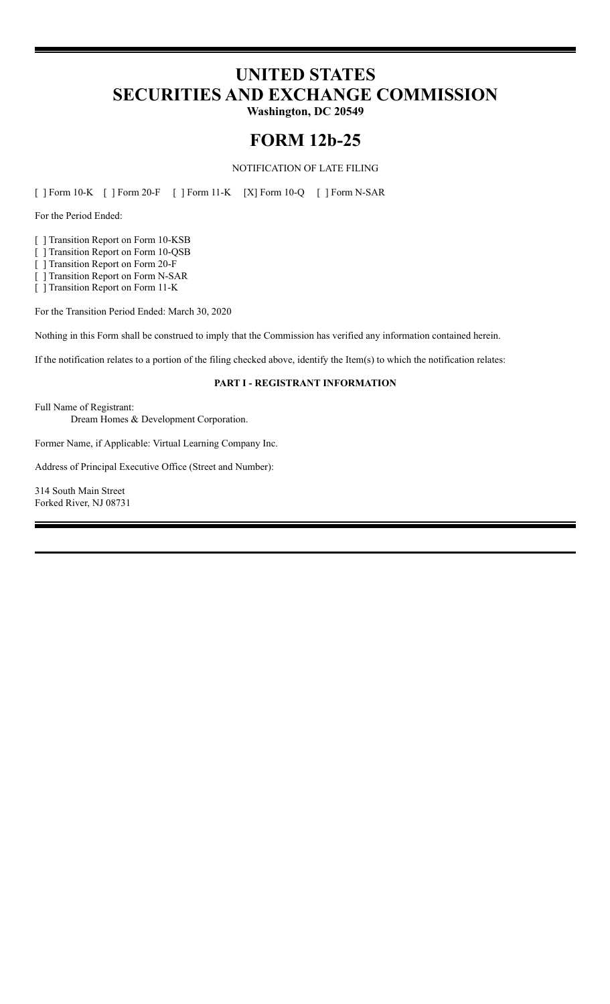# **UNITED STATES SECURITIES AND EXCHANGE COMMISSION**

**Washington, DC 20549**

## **FORM 12b-25**

NOTIFICATION OF LATE FILING

[ ] Form 10-K [ ] Form 20-F [ ] Form 11-K [X] Form 10-Q [ ] Form N-SAR

For the Period Ended:

[ ] Transition Report on Form 10-KSB

[ ] Transition Report on Form 10-QSB

[ ] Transition Report on Form 20-F

[ ] Transition Report on Form N-SAR

[ ] Transition Report on Form 11-K

For the Transition Period Ended: March 30, 2020

Nothing in this Form shall be construed to imply that the Commission has verified any information contained herein.

If the notification relates to a portion of the filing checked above, identify the Item(s) to which the notification relates:

## **PART I - REGISTRANT INFORMATION**

Full Name of Registrant:

Dream Homes & Development Corporation.

Former Name, if Applicable: Virtual Learning Company Inc.

Address of Principal Executive Office (Street and Number):

314 South Main Street Forked River, NJ 08731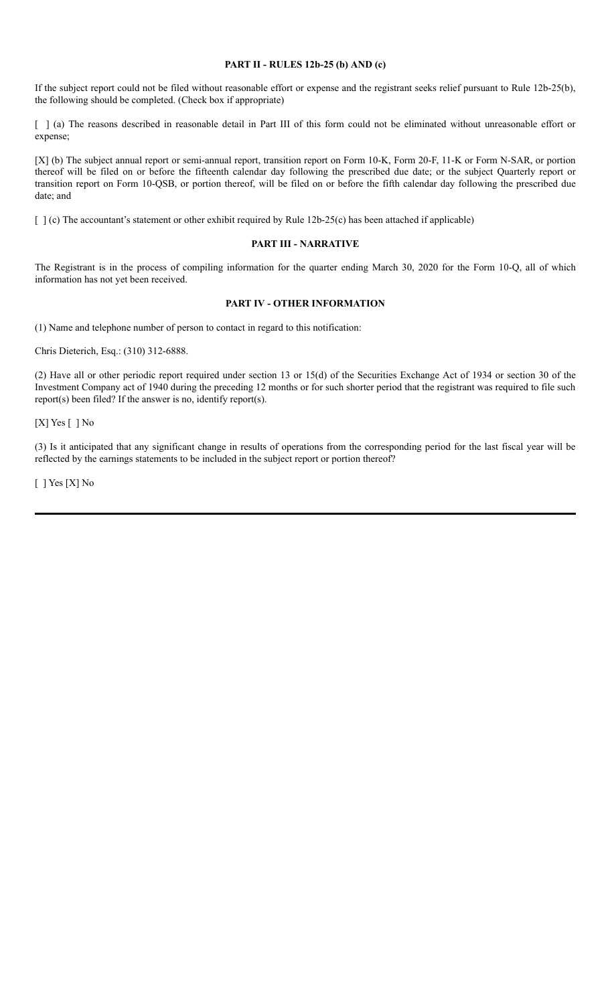### **PART II - RULES 12b-25 (b) AND (c)**

If the subject report could not be filed without reasonable effort or expense and the registrant seeks relief pursuant to Rule 12b-25(b), the following should be completed. (Check box if appropriate)

[ ] (a) The reasons described in reasonable detail in Part III of this form could not be eliminated without unreasonable effort or expense;

[X] (b) The subject annual report or semi-annual report, transition report on Form 10-K, Form 20-F, 11-K or Form N-SAR, or portion thereof will be filed on or before the fifteenth calendar day following the prescribed due date; or the subject Quarterly report or transition report on Form 10-QSB, or portion thereof, will be filed on or before the fifth calendar day following the prescribed due date; and

[ ] (c) The accountant's statement or other exhibit required by Rule 12b-25(c) has been attached if applicable)

#### **PART III - NARRATIVE**

The Registrant is in the process of compiling information for the quarter ending March 30, 2020 for the Form 10-Q, all of which information has not yet been received.

## **PART IV - OTHER INFORMATION**

(1) Name and telephone number of person to contact in regard to this notification:

Chris Dieterich, Esq.: (310) 312-6888.

(2) Have all or other periodic report required under section 13 or 15(d) of the Securities Exchange Act of 1934 or section 30 of the Investment Company act of 1940 during the preceding 12 months or for such shorter period that the registrant was required to file such report(s) been filed? If the answer is no, identify report(s).

[X] Yes [ ] No

(3) Is it anticipated that any significant change in results of operations from the corresponding period for the last fiscal year will be reflected by the earnings statements to be included in the subject report or portion thereof?

[ ] Yes [X] No